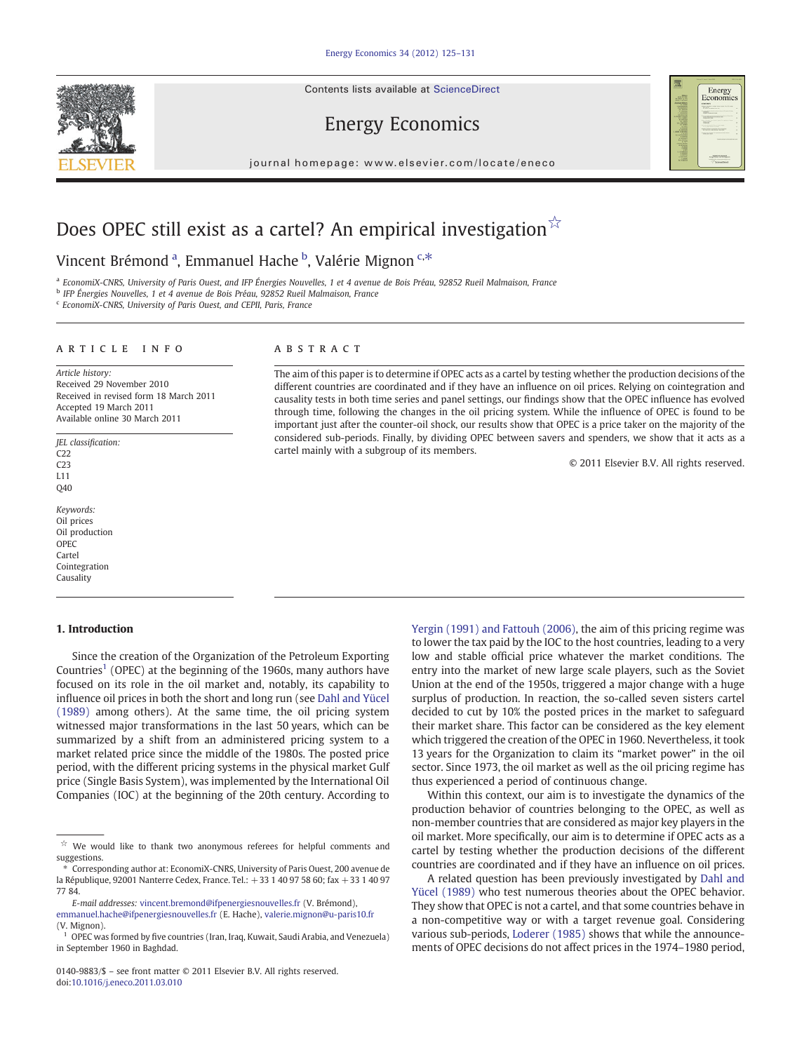Contents lists available at ScienceDirect



journal homepage: www.elsevier.com/locate/eneco

# Does OPEC still exist as a cartel? An empirical investigation $\sqrt{x}$

## Vincent Brémond <sup>a</sup>, Emmanuel Hache <sup>b</sup>, Valérie Mignon <sup>c,\*</sup>

<sup>a</sup> EconomiX-CNRS, University of Paris Ouest, and IFP Énergies Nouvelles, 1 et 4 avenue de Bois Préau, 92852 Rueil Malmaison, France

<sup>b</sup> IFP Énergies Nouvelles, 1 et 4 avenue de Bois Préau, 92852 Rueil Malmaison, France

<sup>c</sup> EconomiX-CNRS, University of Paris Ouest, and CEPII, Paris, France

### article info abstract

Article history: Received 29 November 2010 Received in revised form 18 March 2011 Accepted 19 March 2011 Available online 30 March 2011

JEL classification:  $C22$  $C23$ L11 Q40

Keywords: Oil prices Oil production OPEC Cartel Cointegration Causality

### 1. Introduction

### Since the creation of the Organization of the Petroleum Exporting Countries<sup>1</sup> (OPEC) at the beginning of the 1960s, many authors have focused on its role in the oil market and, notably, its capability to influence oil prices in both the short and long run (see [Dahl and Yücel](#page--1-0) [\(1989\)](#page--1-0) among others). At the same time, the oil pricing system witnessed major transformations in the last 50 years, which can be summarized by a shift from an administered pricing system to a market related price since the middle of the 1980s. The posted price period, with the different pricing systems in the physical market Gulf price (Single Basis System), was implemented by the International Oil Companies (IOC) at the beginning of the 20th century. According to

⁎ Corresponding author at: EconomiX-CNRS, University of Paris Ouest, 200 avenue de la République, 92001 Nanterre Cedex, France. Tel.: +33 1 40 97 58 60; fax +33 1 40 97 77 84.

E-mail addresses: [vincent.bremond@ifpenergiesnouvelles.fr](mailto:vincent.bremond@ifpenergiesnouvelles.fr) (V. Brémond), [emmanuel.hache@ifpenergiesnouvelles.fr](mailto:emmanuel.hache@ifpenergiesnouvelles.fr) (E. Hache), [valerie.mignon@u-paris10.fr](mailto:valerie.mignon@u-paris10.fr) (V. Mignon).

The aim of this paper is to determine if OPEC acts as a cartel by testing whether the production decisions of the different countries are coordinated and if they have an influence on oil prices. Relying on cointegration and causality tests in both time series and panel settings, our findings show that the OPEC influence has evolved through time, following the changes in the oil pricing system. While the influence of OPEC is found to be important just after the counter-oil shock, our results show that OPEC is a price taker on the majority of the considered sub-periods. Finally, by dividing OPEC between savers and spenders, we show that it acts as a cartel mainly with a subgroup of its members.

© 2011 Elsevier B.V. All rights reserved.

Energy<br>Economics

[Yergin \(1991\) and Fattouh \(2006\)](#page--1-0), the aim of this pricing regime was to lower the tax paid by the IOC to the host countries, leading to a very low and stable official price whatever the market conditions. The entry into the market of new large scale players, such as the Soviet Union at the end of the 1950s, triggered a major change with a huge surplus of production. In reaction, the so-called seven sisters cartel decided to cut by 10% the posted prices in the market to safeguard their market share. This factor can be considered as the key element which triggered the creation of the OPEC in 1960. Nevertheless, it took 13 years for the Organization to claim its "market power" in the oil sector. Since 1973, the oil market as well as the oil pricing regime has thus experienced a period of continuous change.

Within this context, our aim is to investigate the dynamics of the production behavior of countries belonging to the OPEC, as well as non-member countries that are considered as major key players in the oil market. More specifically, our aim is to determine if OPEC acts as a cartel by testing whether the production decisions of the different countries are coordinated and if they have an influence on oil prices.

A related question has been previously investigated by [Dahl and](#page--1-0) [Yücel \(1989\)](#page--1-0) who test numerous theories about the OPEC behavior. They show that OPEC is not a cartel, and that some countries behave in a non-competitive way or with a target revenue goal. Considering various sub-periods, [Loderer \(1985\)](#page--1-0) shows that while the announcements of OPEC decisions do not affect prices in the 1974–1980 period,

 $\overrightarrow{x}$  We would like to thank two anonymous referees for helpful comments and suggestions.

<sup>&</sup>lt;sup>1</sup> OPEC was formed by five countries (Iran, Iraq, Kuwait, Saudi Arabia, and Venezuela) in September 1960 in Baghdad.

<sup>0140-9883/\$</sup> – see front matter © 2011 Elsevier B.V. All rights reserved. doi:[10.1016/j.eneco.2011.03.010](http://dx.doi.org/10.1016/j.eneco.2011.03.010)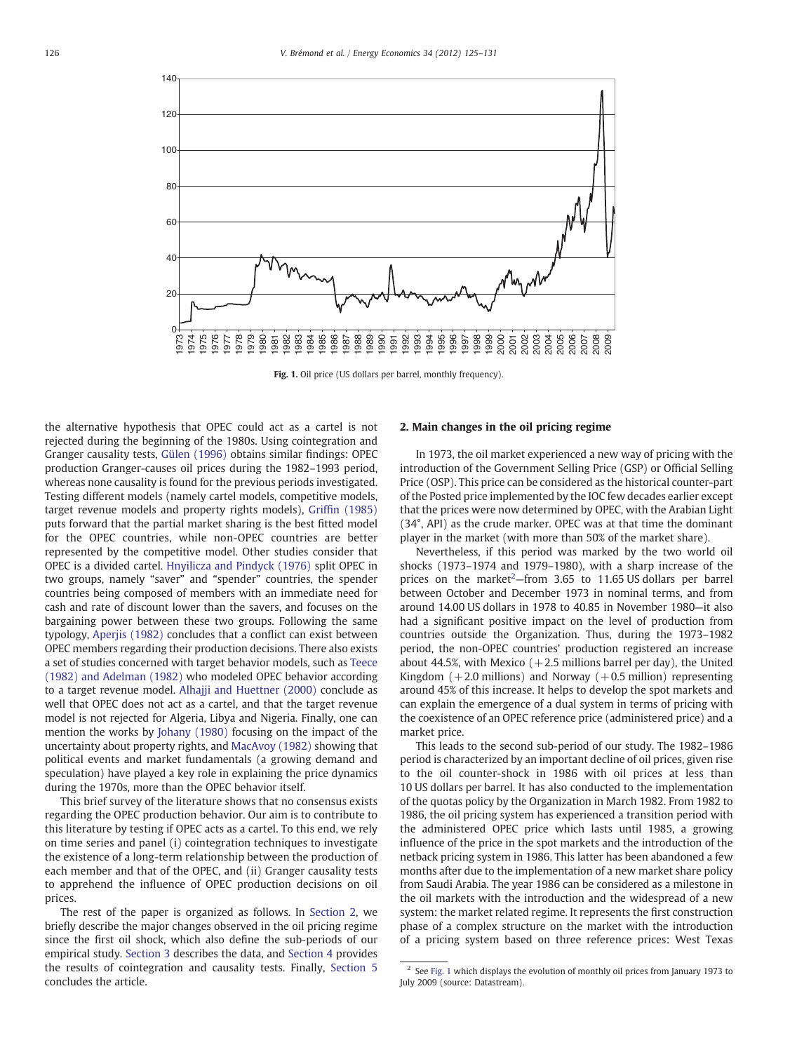

Fig. 1. Oil price (US dollars per barrel, monthly frequency).

the alternative hypothesis that OPEC could act as a cartel is not rejected during the beginning of the 1980s. Using cointegration and Granger causality tests, [Gülen \(1996\)](#page--1-0) obtains similar findings: OPEC production Granger-causes oil prices during the 1982–1993 period, whereas none causality is found for the previous periods investigated. Testing different models (namely cartel models, competitive models, target revenue models and property rights models), Griffi[n \(1985\)](#page--1-0) puts forward that the partial market sharing is the best fitted model for the OPEC countries, while non-OPEC countries are better represented by the competitive model. Other studies consider that OPEC is a divided cartel. [Hnyilicza and Pindyck \(1976\)](#page--1-0) split OPEC in two groups, namely "saver" and "spender" countries, the spender countries being composed of members with an immediate need for cash and rate of discount lower than the savers, and focuses on the bargaining power between these two groups. Following the same typology, [Aperjis \(1982\)](#page--1-0) concludes that a conflict can exist between OPEC members regarding their production decisions. There also exists a set of studies concerned with target behavior models, such as [Teece](#page--1-0) [\(1982\) and Adelman \(1982\)](#page--1-0) who modeled OPEC behavior according to a target revenue model. [Alhajji and Huettner \(2000\)](#page--1-0) conclude as well that OPEC does not act as a cartel, and that the target revenue model is not rejected for Algeria, Libya and Nigeria. Finally, one can mention the works by [Johany \(1980\)](#page--1-0) focusing on the impact of the uncertainty about property rights, and [MacAvoy \(1982\)](#page--1-0) showing that political events and market fundamentals (a growing demand and speculation) have played a key role in explaining the price dynamics during the 1970s, more than the OPEC behavior itself.

This brief survey of the literature shows that no consensus exists regarding the OPEC production behavior. Our aim is to contribute to this literature by testing if OPEC acts as a cartel. To this end, we rely on time series and panel (i) cointegration techniques to investigate the existence of a long-term relationship between the production of each member and that of the OPEC, and (ii) Granger causality tests to apprehend the influence of OPEC production decisions on oil prices.

The rest of the paper is organized as follows. In Section 2, we briefly describe the major changes observed in the oil pricing regime since the first oil shock, which also define the sub-periods of our empirical study. [Section 3](#page--1-0) describes the data, and [Section 4](#page--1-0) provides the results of cointegration and causality tests. Finally, [Section 5](#page--1-0) concludes the article.

#### 2. Main changes in the oil pricing regime

In 1973, the oil market experienced a new way of pricing with the introduction of the Government Selling Price (GSP) or Official Selling Price (OSP). This price can be considered as the historical counter-part of the Posted price implemented by the IOC few decades earlier except that the prices were now determined by OPEC, with the Arabian Light (34°, API) as the crude marker. OPEC was at that time the dominant player in the market (with more than 50% of the market share).

Nevertheless, if this period was marked by the two world oil shocks (1973–1974 and 1979–1980), with a sharp increase of the prices on the market<sup>2</sup>-from 3.65 to 11.65 US dollars per barrel between October and December 1973 in nominal terms, and from around 14.00 US dollars in 1978 to 40.85 in November 1980—it also had a significant positive impact on the level of production from countries outside the Organization. Thus, during the 1973–1982 period, the non-OPEC countries' production registered an increase about 44.5%, with Mexico  $(+2.5$  millions barrel per day), the United Kingdom  $(+2.0$  millions) and Norway  $(+0.5$  million) representing around 45% of this increase. It helps to develop the spot markets and can explain the emergence of a dual system in terms of pricing with the coexistence of an OPEC reference price (administered price) and a market price.

This leads to the second sub-period of our study. The 1982–1986 period is characterized by an important decline of oil prices, given rise to the oil counter-shock in 1986 with oil prices at less than 10 US dollars per barrel. It has also conducted to the implementation of the quotas policy by the Organization in March 1982. From 1982 to 1986, the oil pricing system has experienced a transition period with the administered OPEC price which lasts until 1985, a growing influence of the price in the spot markets and the introduction of the netback pricing system in 1986. This latter has been abandoned a few months after due to the implementation of a new market share policy from Saudi Arabia. The year 1986 can be considered as a milestone in the oil markets with the introduction and the widespread of a new system: the market related regime. It represents the first construction phase of a complex structure on the market with the introduction of a pricing system based on three reference prices: West Texas

<sup>&</sup>lt;sup>2</sup> See Fig. 1 which displays the evolution of monthly oil prices from January 1973 to July 2009 (source: Datastream).